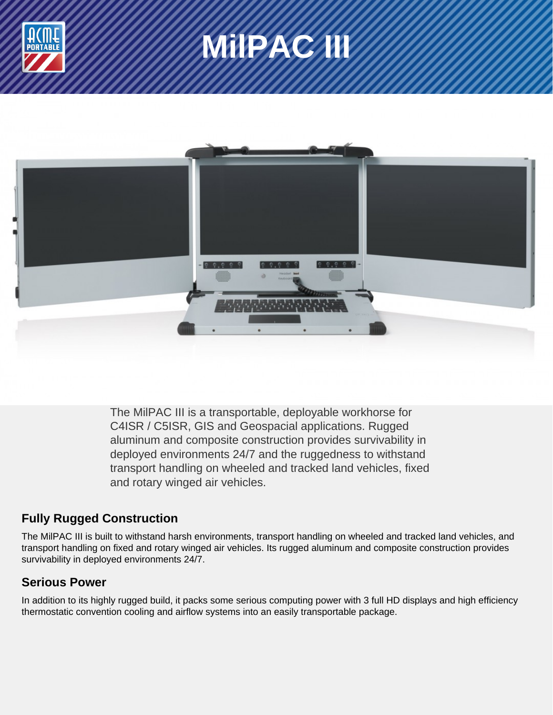





The MilPAC III is a transportable, deployable workhorse for C4ISR / C5ISR, GIS and Geospacial applications. Rugged aluminum and composite construction provides survivability in deployed environments 24/7 and the ruggedness to withstand transport handling on wheeled and tracked land vehicles, fixed and rotary winged air vehicles.

## **Fully Rugged Construction**

The MilPAC III is built to withstand harsh environments, transport handling on wheeled and tracked land vehicles, and transport handling on fixed and rotary winged air vehicles. Its rugged aluminum and composite construction provides survivability in deployed environments 24/7.

## **Serious Power**

In addition to its highly rugged build, it packs some serious computing power with 3 full HD displays and high efficiency thermostatic convention cooling and airflow systems into an easily transportable package.